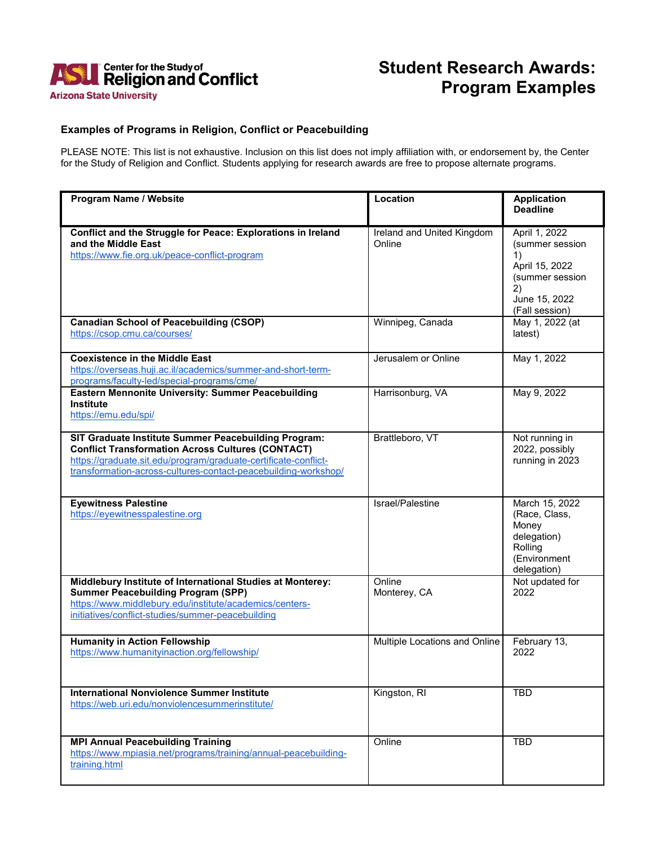

## **Student Research Awards: Program Examples**

## **Examples of Programs in Religion, Conflict or Peacebuilding**

PLEASE NOTE: This list is not exhaustive. Inclusion on this list does not imply affiliation with, or endorsement by, the Center for the Study of Religion and Conflict. Students applying for research awards are free to propose alternate programs.

| Program Name / Website                                                                                                                                                                                                                                | Location                             | <b>Application</b><br><b>Deadline</b>                                                                                |
|-------------------------------------------------------------------------------------------------------------------------------------------------------------------------------------------------------------------------------------------------------|--------------------------------------|----------------------------------------------------------------------------------------------------------------------|
| Conflict and the Struggle for Peace: Explorations in Ireland<br>and the Middle East<br>https://www.fie.org.uk/peace-conflict-program                                                                                                                  | Ireland and United Kingdom<br>Online | April 1, 2022<br>(summer session<br>1)<br>April 15, 2022<br>(summer session<br>2)<br>June 15, 2022<br>(Fall session) |
| <b>Canadian School of Peacebuilding (CSOP)</b><br>https://csop.cmu.ca/courses/                                                                                                                                                                        | Winnipeg, Canada                     | May 1, 2022 (at<br>latest)                                                                                           |
| <b>Coexistence in the Middle East</b><br>https://overseas.huji.ac.il/academics/summer-and-short-term-<br>programs/faculty-led/special-programs/cme/                                                                                                   | Jerusalem or Online                  | May 1, 2022                                                                                                          |
| <b>Eastern Mennonite University: Summer Peacebuilding</b><br><b>Institute</b><br>https://emu.edu/spi/                                                                                                                                                 | Harrisonburg, VA                     | May 9, 2022                                                                                                          |
| SIT Graduate Institute Summer Peacebuilding Program:<br><b>Conflict Transformation Across Cultures (CONTACT)</b><br>https://graduate.sit.edu/program/graduate-certificate-conflict-<br>transformation-across-cultures-contact-peacebuilding-workshop/ | Brattleboro, VT                      | Not running in<br>2022, possibly<br>running in 2023                                                                  |
| <b>Eyewitness Palestine</b><br>https://eyewitnesspalestine.org                                                                                                                                                                                        | Israel/Palestine                     | March 15, 2022<br>(Race, Class,<br>Money<br>delegation)<br>Rolling<br>(Environment<br>delegation)                    |
| Middlebury Institute of International Studies at Monterey:<br><b>Summer Peacebuilding Program (SPP)</b><br>https://www.middlebury.edu/institute/academics/centers-<br>initiatives/conflict-studies/summer-peacebuilding                               | Online<br>Monterey, CA               | Not updated for<br>2022                                                                                              |
| <b>Humanity in Action Fellowship</b><br>https://www.humanityinaction.org/fellowship/                                                                                                                                                                  | Multiple Locations and Online        | February 13,<br>2022                                                                                                 |
| <b>International Nonviolence Summer Institute</b><br>https://web.uri.edu/nonviolencesummerinstitute/                                                                                                                                                  | Kingston, RI                         | <b>TBD</b>                                                                                                           |
| <b>MPI Annual Peacebuilding Training</b><br>https://www.mpiasia.net/programs/training/annual-peacebuilding-<br>training.html                                                                                                                          | Online                               | <b>TBD</b>                                                                                                           |